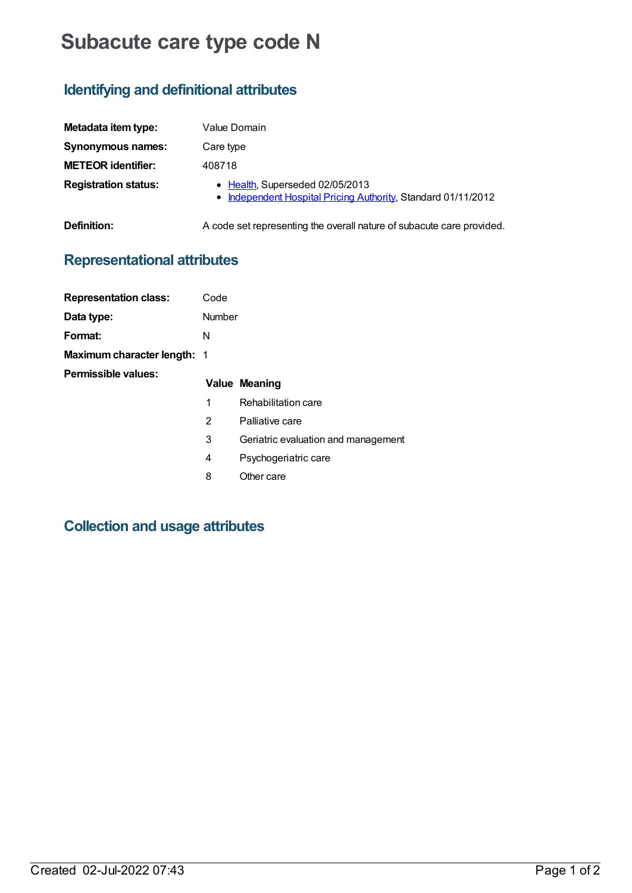# **Subacute care type code N**

# **Identifying and definitional attributes**

| Metadata item type:         | Value Domain                                                                                     |
|-----------------------------|--------------------------------------------------------------------------------------------------|
| Synonymous names:           | Care type                                                                                        |
| <b>METEOR identifier:</b>   | 408718                                                                                           |
| <b>Registration status:</b> | • Health, Superseded 02/05/2013<br>• Independent Hospital Pricing Authority, Standard 01/11/2012 |

**Definition:** A code set representing the overall nature of subacute care provided.

## **Representational attributes**

| <b>Representation class:</b>       | Code   |                                     |
|------------------------------------|--------|-------------------------------------|
| Data type:                         | Number |                                     |
| Format:                            | N      |                                     |
| <b>Maximum character length: 1</b> |        |                                     |
| Permissible values:                |        |                                     |
|                                    |        | Value Meaning                       |
|                                    | 1      | Rehabilitation care                 |
|                                    | 2      | Palliative care                     |
|                                    | 3      | Geriatric evaluation and management |
|                                    | 4      | Psychogeriatric care                |
|                                    | 8      | Other care                          |

# **Collection and usage attributes**